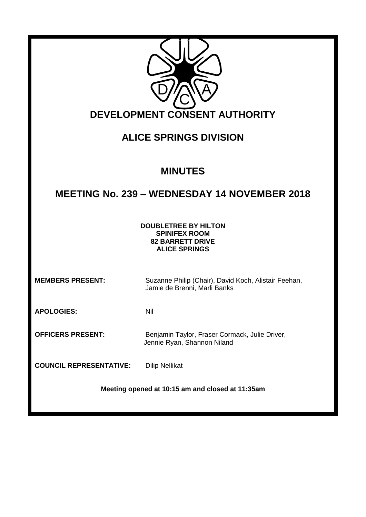| <b>DEVELOPMENT CONSENT AUTHORITY</b>                                                                   |                                                                                      |
|--------------------------------------------------------------------------------------------------------|--------------------------------------------------------------------------------------|
| <b>ALICE SPRINGS DIVISION</b>                                                                          |                                                                                      |
| <b>MINUTES</b>                                                                                         |                                                                                      |
| <b>MEETING No. 239 - WEDNESDAY 14 NOVEMBER 2018</b>                                                    |                                                                                      |
| <b>DOUBLETREE BY HILTON</b><br><b>SPINIFEX ROOM</b><br><b>82 BARRETT DRIVE</b><br><b>ALICE SPRINGS</b> |                                                                                      |
| <b>MEMBERS PRESENT:</b>                                                                                | Suzanne Philip (Chair), David Koch, Alistair Feehan,<br>Jamie de Brenni, Marli Banks |
| <b>APOLOGIES:</b>                                                                                      | Nil                                                                                  |
| <b>OFFICERS PRESENT:</b>                                                                               | Benjamin Taylor, Fraser Cormack, Julie Driver,<br>Jennie Ryan, Shannon Niland        |
| <b>COUNCIL REPRESENTATIVE:</b>                                                                         | <b>Dilip Nellikat</b>                                                                |
| Meeting opened at 10:15 am and closed at 11:35am                                                       |                                                                                      |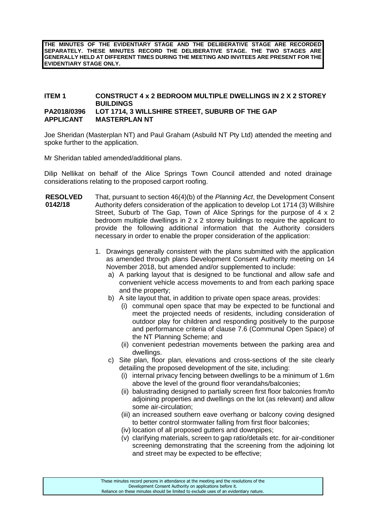**THE MINUTES OF THE EVIDENTIARY STAGE AND THE DELIBERATIVE STAGE ARE RECORDED SEPARATELY. THESE MINUTES RECORD THE DELIBERATIVE STAGE. THE TWO STAGES ARE GENERALLY HELD AT DIFFERENT TIMES DURING THE MEETING AND INVITEES ARE PRESENT FOR THE EVIDENTIARY STAGE ONLY.**

#### **ITEM 1 CONSTRUCT 4 x 2 BEDROOM MULTIPLE DWELLINGS IN 2 X 2 STOREY BUILDINGS PA2018/0396 LOT 1714, 3 WILLSHIRE STREET, SUBURB OF THE GAP APPLICANT MASTERPLAN NT**

Joe Sheridan (Masterplan NT) and Paul Graham (Asbuild NT Pty Ltd) attended the meeting and spoke further to the application.

Mr Sheridan tabled amended/additional plans.

Dilip Nellikat on behalf of the Alice Springs Town Council attended and noted drainage considerations relating to the proposed carport roofing.

- **RESOLVED 0142/18** That, pursuant to section 46(4)(b) of the *Planning Act*, the Development Consent Authority defers consideration of the application to develop Lot 1714 (3) Willshire Street, Suburb of The Gap, Town of Alice Springs for the purpose of 4 x 2 bedroom multiple dwellings in 2 x 2 storey buildings to require the applicant to provide the following additional information that the Authority considers necessary in order to enable the proper consideration of the application:
	- 1. Drawings generally consistent with the plans submitted with the application as amended through plans Development Consent Authority meeting on 14 November 2018, but amended and/or supplemented to include:
		- a) A parking layout that is designed to be functional and allow safe and convenient vehicle access movements to and from each parking space and the property;
		- b) A site layout that, in addition to private open space areas, provides:
			- (i) communal open space that may be expected to be functional and meet the projected needs of residents, including consideration of outdoor play for children and responding positively to the purpose and performance criteria of clause 7.6 (Communal Open Space) of the NT Planning Scheme; and
			- (ii) convenient pedestrian movements between the parking area and dwellings.
		- c) Site plan, floor plan, elevations and cross-sections of the site clearly detailing the proposed development of the site, including:
			- (i) internal privacy fencing between dwellings to be a minimum of 1.6m above the level of the ground floor verandahs/balconies;
			- (ii) balustrading designed to partially screen first floor balconies from/to adjoining properties and dwellings on the lot (as relevant) and allow some air-circulation;
			- (iii) an increased southern eave overhang or balcony coving designed to better control stormwater falling from first floor balconies;
			- (iv) location of all proposed gutters and downpipes;
			- (v) clarifying materials, screen to gap ratio/details etc. for air-conditioner screening demonstrating that the screening from the adjoining lot and street may be expected to be effective;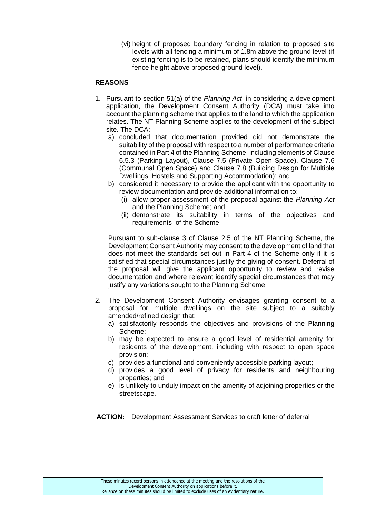(vi) height of proposed boundary fencing in relation to proposed site levels with all fencing a minimum of 1.8m above the ground level (if existing fencing is to be retained, plans should identify the minimum fence height above proposed ground level).

## **REASONS**

- 1. Pursuant to section 51(a) of the *Planning Act*, in considering a development application, the Development Consent Authority (DCA) must take into account the planning scheme that applies to the land to which the application relates. The NT Planning Scheme applies to the development of the subject site. The DCA:
	- a) concluded that documentation provided did not demonstrate the suitability of the proposal with respect to a number of performance criteria contained in Part 4 of the Planning Scheme, including elements of Clause 6.5.3 (Parking Layout), Clause 7.5 (Private Open Space), Clause 7.6 (Communal Open Space) and Clause 7.8 (Building Design for Multiple Dwellings, Hostels and Supporting Accommodation); and
	- b) considered it necessary to provide the applicant with the opportunity to review documentation and provide additional information to:
		- (i) allow proper assessment of the proposal against the *Planning Act* and the Planning Scheme; and
		- (ii) demonstrate its suitability in terms of the objectives and requirements of the Scheme.

Pursuant to sub-clause 3 of Clause 2.5 of the NT Planning Scheme, the Development Consent Authority may consent to the development of land that does not meet the standards set out in Part 4 of the Scheme only if it is satisfied that special circumstances justify the giving of consent. Deferral of the proposal will give the applicant opportunity to review and revise documentation and where relevant identify special circumstances that may justify any variations sought to the Planning Scheme.

- 2. The Development Consent Authority envisages granting consent to a proposal for multiple dwellings on the site subject to a suitably amended/refined design that:
	- a) satisfactorily responds the objectives and provisions of the Planning Scheme;
	- b) may be expected to ensure a good level of residential amenity for residents of the development, including with respect to open space provision;
	- c) provides a functional and conveniently accessible parking layout;
	- d) provides a good level of privacy for residents and neighbouring properties; and
	- e) is unlikely to unduly impact on the amenity of adjoining properties or the streetscape.

**ACTION:** Development Assessment Services to draft letter of deferral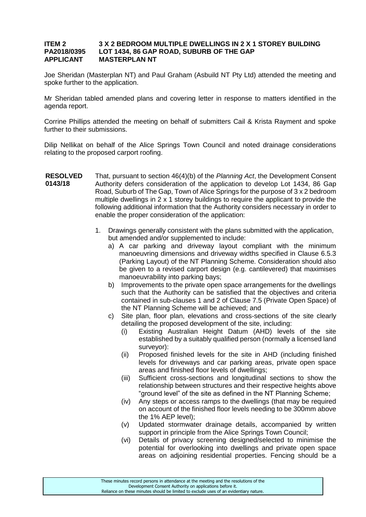#### **ITEM 2 3 X 2 BEDROOM MULTIPLE DWELLINGS IN 2 X 1 STOREY BUILDING PA2018/0395 LOT 1434, 86 GAP ROAD, SUBURB OF THE GAP APPLICANT MASTERPLAN NT**

Joe Sheridan (Masterplan NT) and Paul Graham (Asbuild NT Pty Ltd) attended the meeting and spoke further to the application.

Mr Sheridan tabled amended plans and covering letter in response to matters identified in the agenda report.

Corrine Phillips attended the meeting on behalf of submitters Cail & Krista Rayment and spoke further to their submissions.

Dilip Nellikat on behalf of the Alice Springs Town Council and noted drainage considerations relating to the proposed carport roofing.

- **RESOLVED 0143/18** That, pursuant to section 46(4)(b) of the *Planning Act*, the Development Consent Authority defers consideration of the application to develop Lot 1434, 86 Gap Road, Suburb of The Gap, Town of Alice Springs for the purpose of 3 x 2 bedroom multiple dwellings in 2 x 1 storey buildings to require the applicant to provide the following additional information that the Authority considers necessary in order to enable the proper consideration of the application:
	- 1. Drawings generally consistent with the plans submitted with the application, but amended and/or supplemented to include:
		- a) A car parking and driveway layout compliant with the minimum manoeuvring dimensions and driveway widths specified in Clause 6.5.3 (Parking Layout) of the NT Planning Scheme. Consideration should also be given to a revised carport design (e.g. cantilevered) that maximises manoeuvrability into parking bays;
		- b) Improvements to the private open space arrangements for the dwellings such that the Authority can be satisfied that the objectives and criteria contained in sub-clauses 1 and 2 of Clause 7.5 (Private Open Space) of the NT Planning Scheme will be achieved; and
		- c) Site plan, floor plan, elevations and cross-sections of the site clearly detailing the proposed development of the site, including:
			- (i) Existing Australian Height Datum (AHD) levels of the site established by a suitably qualified person (normally a licensed land surveyor):
			- (ii) Proposed finished levels for the site in AHD (including finished levels for driveways and car parking areas, private open space areas and finished floor levels of dwellings;
			- (iii) Sufficient cross-sections and longitudinal sections to show the relationship between structures and their respective heights above "ground level" of the site as defined in the NT Planning Scheme;
			- (iv) Any steps or access ramps to the dwellings (that may be required on account of the finished floor levels needing to be 300mm above the 1% AEP level);
			- (v) Updated stormwater drainage details, accompanied by written support in principle from the Alice Springs Town Council:
			- (vi) Details of privacy screening designed/selected to minimise the potential for overlooking into dwellings and private open space areas on adjoining residential properties. Fencing should be a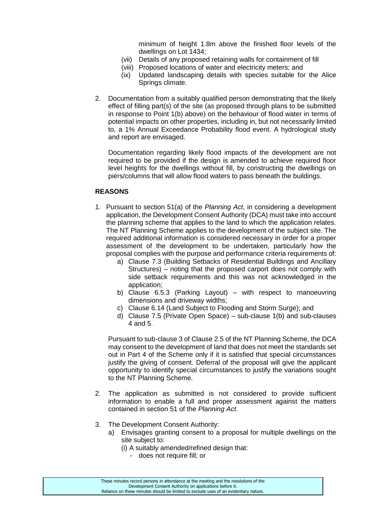minimum of height 1.8m above the finished floor levels of the dwellings on Lot 1434;

- (vii) Details of any proposed retaining walls for containment of fill
- (viii) Proposed locations of water and electricity meters; and
- (ix) Updated landscaping details with species suitable for the Alice Springs climate.
- 2. Documentation from a suitably qualified person demonstrating that the likely effect of filling part(s) of the site (as proposed through plans to be submitted in response to Point 1(b) above) on the behaviour of flood water in terms of potential impacts on other properties, including in, but not necessarily limited to, a 1% Annual Exceedance Probability flood event. A hydrological study and report are envisaged.

Documentation regarding likely flood impacts of the development are not required to be provided if the design is amended to achieve required floor level heights for the dwellings without fill, by constructing the dwellings on piers/columns that will allow flood waters to pass beneath the buildings.

### **REASONS**

- 1. Pursuant to section 51(a) of the *Planning Act*, in considering a development application, the Development Consent Authority (DCA) must take into account the planning scheme that applies to the land to which the application relates. The NT Planning Scheme applies to the development of the subject site. The required additional information is considered necessary in order for a proper assessment of the development to be undertaken, particularly how the proposal complies with the purpose and performance criteria requirements of:
	- a) Clause 7.3 (Building Setbacks of Residential Buildings and Ancillary Structures) – noting that the proposed carport does not comply with side setback requirements and this was not acknowledged in the application;
	- b) Clause 6.5.3 (Parking Layout) with respect to manoeuvring dimensions and driveway widths;
	- c) Clause 6.14 (Land Subject to Flooding and Storm Surge); and
	- d) Clause 7.5 (Private Open Space) sub-clause 1(b) and sub-clauses 4 and 5.

Pursuant to sub-clause 3 of Clause 2.5 of the NT Planning Scheme, the DCA may consent to the development of land that does not meet the standards set out in Part 4 of the Scheme only if it is satisfied that special circumstances justify the giving of consent. Deferral of the proposal will give the applicant opportunity to identify special circumstances to justify the variations sought to the NT Planning Scheme.

- 2. The application as submitted is not considered to provide sufficient information to enable a full and proper assessment against the matters contained in section 51 of the *Planning Act*.
- 3. The Development Consent Authority:
	- a) Envisages granting consent to a proposal for multiple dwellings on the site subject to:
		- (i) A suitably amended/refined design that:
			- does not require fill; or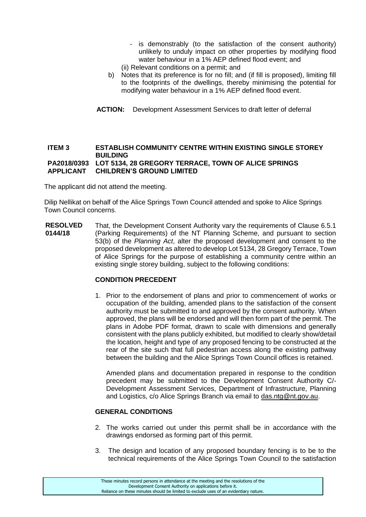- is demonstrably (to the satisfaction of the consent authority) unlikely to unduly impact on other properties by modifying flood water behaviour in a 1% AEP defined flood event; and
- (ii) Relevant conditions on a permit; and
- b) Notes that its preference is for no fill; and (if fill is proposed), limiting fill to the footprints of the dwellings, thereby minimising the potential for modifying water behaviour in a 1% AEP defined flood event.
- **ACTION:** Development Assessment Services to draft letter of deferral

#### **ITEM 3 ESTABLISH COMMUNITY CENTRE WITHIN EXISTING SINGLE STOREY BUILDING PA2018/0393 LOT 5134, 28 GREGORY TERRACE, TOWN OF ALICE SPRINGS APPLICANT CHILDREN'S GROUND LIMITED**

The applicant did not attend the meeting.

Dilip Nellikat on behalf of the Alice Springs Town Council attended and spoke to Alice Springs Town Council concerns.

**RESOLVED 0144/18** That, the Development Consent Authority vary the requirements of Clause 6.5.1 (Parking Requirements) of the NT Planning Scheme, and pursuant to section 53(b) of the *Planning Act*, alter the proposed development and consent to the proposed development as altered to develop Lot 5134, 28 Gregory Terrace, Town of Alice Springs for the purpose of establishing a community centre within an existing single storey building, subject to the following conditions:

#### **CONDITION PRECEDENT**

1. Prior to the endorsement of plans and prior to commencement of works or occupation of the building, amended plans to the satisfaction of the consent authority must be submitted to and approved by the consent authority. When approved, the plans will be endorsed and will then form part of the permit. The plans in Adobe PDF format, drawn to scale with dimensions and generally consistent with the plans publicly exhibited, but modified to clearly show/detail the location, height and type of any proposed fencing to be constructed at the rear of the site such that full pedestrian access along the existing pathway between the building and the Alice Springs Town Council offices is retained.

Amended plans and documentation prepared in response to the condition precedent may be submitted to the Development Consent Authority C/- Development Assessment Services, Department of Infrastructure, Planning and Logistics, c/o Alice Springs Branch via email to das.ntg@nt.gov.au.

#### **GENERAL CONDITIONS**

- 2. The works carried out under this permit shall be in accordance with the drawings endorsed as forming part of this permit.
- 3. The design and location of any proposed boundary fencing is to be to the technical requirements of the Alice Springs Town Council to the satisfaction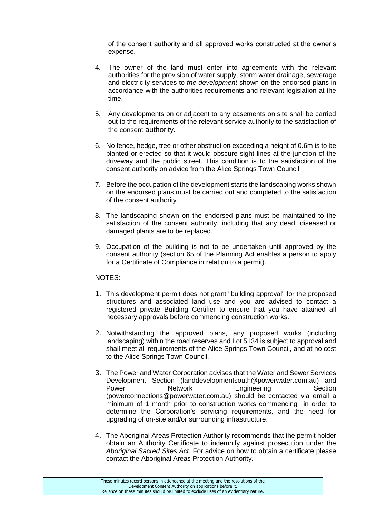of the consent authority and all approved works constructed at the owner's expense.

- 4. The owner of the land must enter into agreements with the relevant authorities for the provision of water supply, storm water drainage, sewerage and electricity services to *the development* shown on the endorsed plans in accordance with the authorities requirements and relevant legislation at the time.
- 5. Any developments on or adjacent to any easements on site shall be carried out to the requirements of the relevant service authority to the satisfaction of the consent authority.
- 6. No fence, hedge, tree or other obstruction exceeding a height of 0.6m is to be planted or erected so that it would obscure sight lines at the junction of the driveway and the public street. This condition is to the satisfaction of the consent authority on advice from the Alice Springs Town Council.
- 7. Before the occupation of the development starts the landscaping works shown on the endorsed plans must be carried out and completed to the satisfaction of the consent authority.
- 8. The landscaping shown on the endorsed plans must be maintained to the satisfaction of the consent authority, including that any dead, diseased or damaged plants are to be replaced.
- 9. Occupation of the building is not to be undertaken until approved by the consent authority (section 65 of the Planning Act enables a person to apply for a Certificate of Compliance in relation to a permit).

### NOTES:

- 1. This development permit does not grant "building approval" for the proposed structures and associated land use and you are advised to contact a registered private Building Certifier to ensure that you have attained all necessary approvals before commencing construction works.
- 2. Notwithstanding the approved plans, any proposed works (including landscaping) within the road reserves and Lot 5134 is subject to approval and shall meet all requirements of the Alice Springs Town Council, and at no cost to the Alice Springs Town Council.
- 3. The Power and Water Corporation advises that the Water and Sewer Services Development Section [\(landdevelopmentsouth@powerwater.com.au\)](mailto:landdevelopmentsouth@powerwater.com.au) and Power **Network** Engineering Section [\(powerconnections@powerwater.com.au\)](mailto:powerconnections@powerwater.com.au) should be contacted via email a minimum of 1 month prior to construction works commencing in order to determine the Corporation's servicing requirements, and the need for upgrading of on-site and/or surrounding infrastructure.
- 4. The Aboriginal Areas Protection Authority recommends that the permit holder obtain an Authority Certificate to indemnify against prosecution under the *Aboriginal Sacred Sites Act*. For advice on how to obtain a certificate please contact the Aboriginal Areas Protection Authority.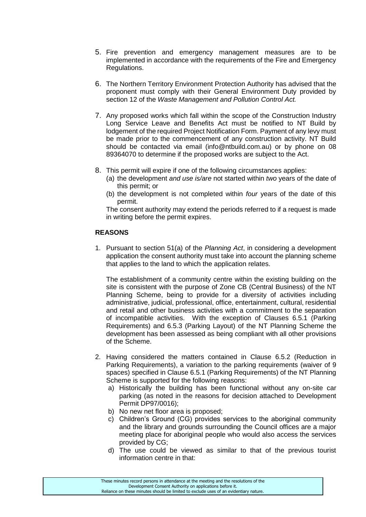- 5. Fire prevention and emergency management measures are to be implemented in accordance with the requirements of the Fire and Emergency Regulations.
- 6. The Northern Territory Environment Protection Authority has advised that the proponent must comply with their General Environment Duty provided by section 12 of the *Waste Management and Pollution Control Act.*
- 7. Any proposed works which fall within the scope of the Construction Industry Long Service Leave and Benefits Act must be notified to NT Build by lodgement of the required Project Notification Form. Payment of any levy must be made prior to the commencement of any construction activity. NT Build should be contacted via email (info@ntbuild.com.au) or by phone on 08 89364070 to determine if the proposed works are subject to the Act.
- 8. This permit will expire if one of the following circumstances applies:
	- (a) the development *and use is/are* not started within *two* years of the date of this permit; or
	- (b) the development is not completed within *four* years of the date of this permit.

The consent authority may extend the periods referred to if a request is made in writing before the permit expires.

### **REASONS**

1. Pursuant to section 51(a) of the *Planning Act*, in considering a development application the consent authority must take into account the planning scheme that applies to the land to which the application relates.

The establishment of a community centre within the existing building on the site is consistent with the purpose of Zone CB (Central Business) of the NT Planning Scheme, being to provide for a diversity of activities including administrative, judicial, professional, office, entertainment, cultural, residential and retail and other business activities with a commitment to the separation of incompatible activities. With the exception of Clauses 6.5.1 (Parking Requirements) and 6.5.3 (Parking Layout) of the NT Planning Scheme the development has been assessed as being compliant with all other provisions of the Scheme.

- 2. Having considered the matters contained in Clause 6.5.2 (Reduction in Parking Requirements), a variation to the parking requirements (waiver of 9 spaces) specified in Clause 6.5.1 (Parking Requirements) of the NT Planning Scheme is supported for the following reasons:
	- a) Historically the building has been functional without any on-site car parking (as noted in the reasons for decision attached to Development Permit DP97/0016);
	- b) No new net floor area is proposed;
	- c) Children's Ground (CG) provides services to the aboriginal community and the library and grounds surrounding the Council offices are a major meeting place for aboriginal people who would also access the services provided by CG;
	- d) The use could be viewed as similar to that of the previous tourist information centre in that: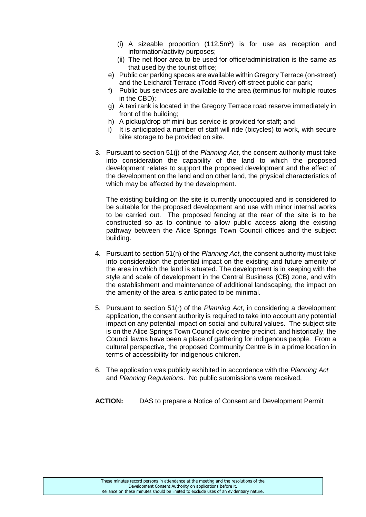- (i) A sizeable proportion  $(112.5m^2)$  is for use as reception and information/activity purposes;
- (ii) The net floor area to be used for office/administration is the same as that used by the tourist office;
- e) Public car parking spaces are available within Gregory Terrace (on-street) and the Leichardt Terrace (Todd River) off-street public car park;
- f) Public bus services are available to the area (terminus for multiple routes in the CBD);
- g) A taxi rank is located in the Gregory Terrace road reserve immediately in front of the building;
- h) A pickup/drop off mini-bus service is provided for staff; and
- i) It is anticipated a number of staff will ride (bicycles) to work, with secure bike storage to be provided on site.
- 3. Pursuant to section 51(j) of the *Planning Act*, the consent authority must take into consideration the capability of the land to which the proposed development relates to support the proposed development and the effect of the development on the land and on other land, the physical characteristics of which may be affected by the development.

The existing building on the site is currently unoccupied and is considered to be suitable for the proposed development and use with minor internal works to be carried out. The proposed fencing at the rear of the site is to be constructed so as to continue to allow public access along the existing pathway between the Alice Springs Town Council offices and the subject building.

- 4. Pursuant to section 51(n) of the *Planning Act*, the consent authority must take into consideration the potential impact on the existing and future amenity of the area in which the land is situated. The development is in keeping with the style and scale of development in the Central Business (CB) zone, and with the establishment and maintenance of additional landscaping, the impact on the amenity of the area is anticipated to be minimal.
- 5. Pursuant to section 51(r) of the *Planning Act*, in considering a development application, the consent authority is required to take into account any potential impact on any potential impact on social and cultural values. The subject site is on the Alice Springs Town Council civic centre precinct, and historically, the Council lawns have been a place of gathering for indigenous people. From a cultural perspective, the proposed Community Centre is in a prime location in terms of accessibility for indigenous children.
- 6. The application was publicly exhibited in accordance with the *Planning Act*  and *Planning Regulations*. No public submissions were received.

**ACTION:** DAS to prepare a Notice of Consent and Development Permit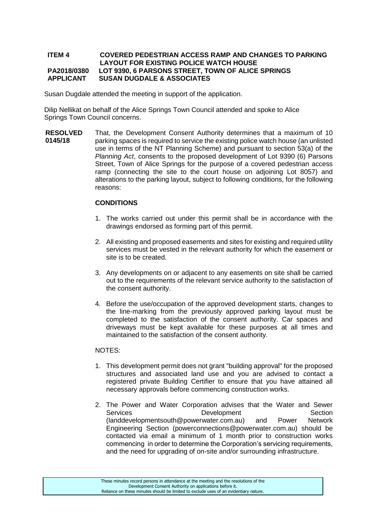#### **ITEM 4 COVERED PEDESTRIAN ACCESS RAMP AND CHANGES TO PARKING LAYOUT FOR EXISTING POLICE WATCH HOUSE PA2018/0380 LOT 9390, 6 PARSONS STREET, TOWN OF ALICE SPRINGS APPLICANT SUSAN DUGDALE & ASSOCIATES**

Susan Dugdale attended the meeting in support of the application.

Dilip Nellikat on behalf of the Alice Springs Town Council attended and spoke to Alice Springs Town Council concerns.

**RESOLVED 0145/18** That, the Development Consent Authority determines that a maximum of 10 parking spaces is required to service the existing police watch house (an unlisted use in terms of the NT Planning Scheme) and pursuant to section 53(a) of the *Planning Act*, consents to the proposed development of Lot 9390 (6) Parsons Street, Town of Alice Springs for the purpose of a covered pedestrian access ramp (connecting the site to the court house on adjoining Lot 8057) and alterations to the parking layout, subject to following conditions, for the following reasons:

### **CONDITIONS**

- 1. The works carried out under this permit shall be in accordance with the drawings endorsed as forming part of this permit.
- 2. All existing and proposed easements and sites for existing and required utility services must be vested in the relevant authority for which the easement or site is to be created.
- 3. Any developments on or adjacent to any easements on site shall be carried out to the requirements of the relevant service authority to the satisfaction of the consent authority.
- 4. Before the use/occupation of the approved development starts, changes to the line-marking from the previously approved parking layout must be completed to the satisfaction of the consent authority. Car spaces and driveways must be kept available for these purposes at all times and maintained to the satisfaction of the consent authority.

#### NOTES:

- 1. This development permit does not grant "building approval" for the proposed structures and associated land use and you are advised to contact a registered private Building Certifier to ensure that you have attained all necessary approvals before commencing construction works.
- 2. The Power and Water Corporation advises that the Water and Sewer Services **Development** Development Section (landdevelopmentsouth@powerwater.com.au) and Power Network Engineering Section (powerconnections@powerwater.com.au) should be contacted via email a minimum of 1 month prior to construction works commencing in order to determine the Corporation's servicing requirements, and the need for upgrading of on-site and/or surrounding infrastructure.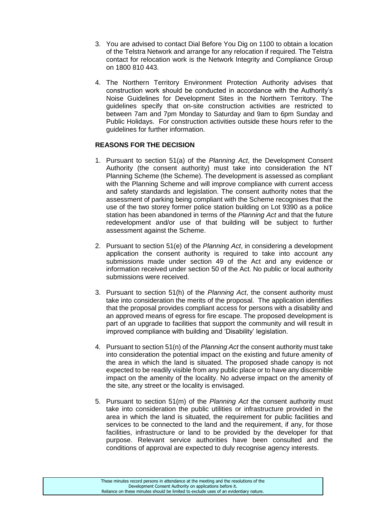- 3. You are advised to contact Dial Before You Dig on 1100 to obtain a location of the Telstra Network and arrange for any relocation if required. The Telstra contact for relocation work is the Network Integrity and Compliance Group on 1800 810 443.
- 4. The Northern Territory Environment Protection Authority advises that construction work should be conducted in accordance with the Authority's Noise Guidelines for Development Sites in the Northern Territory. The guidelines specify that on-site construction activities are restricted to between 7am and 7pm Monday to Saturday and 9am to 6pm Sunday and Public Holidays. For construction activities outside these hours refer to the guidelines for further information.

# **REASONS FOR THE DECISION**

- 1. Pursuant to section 51(a) of the *Planning Act*, the Development Consent Authority (the consent authority) must take into consideration the NT Planning Scheme (the Scheme). The development is assessed as compliant with the Planning Scheme and will improve compliance with current access and safety standards and legislation. The consent authority notes that the assessment of parking being compliant with the Scheme recognises that the use of the two storey former police station building on Lot 9390 as a police station has been abandoned in terms of the *Planning Act* and that the future redevelopment and/or use of that building will be subject to further assessment against the Scheme.
- 2. Pursuant to section 51(e) of the *Planning Act*, in considering a development application the consent authority is required to take into account any submissions made under section 49 of the Act and any evidence or information received under section 50 of the Act. No public or local authority submissions were received.
- 3. Pursuant to section 51(h) of the *Planning Act*, the consent authority must take into consideration the merits of the proposal. The application identifies that the proposal provides compliant access for persons with a disability and an approved means of egress for fire escape. The proposed development is part of an upgrade to facilities that support the community and will result in improved compliance with building and 'Disability' legislation.
- 4. Pursuant to section 51(n) of the *Planning Act* the consent authority must take into consideration the potential impact on the existing and future amenity of the area in which the land is situated. The proposed shade canopy is not expected to be readily visible from any public place or to have any discernible impact on the amenity of the locality. No adverse impact on the amenity of the site, any street or the locality is envisaged.
- 5. Pursuant to section 51(m) of the *Planning Act* the consent authority must take into consideration the public utilities or infrastructure provided in the area in which the land is situated, the requirement for public facilities and services to be connected to the land and the requirement, if any, for those facilities, infrastructure or land to be provided by the developer for that purpose. Relevant service authorities have been consulted and the conditions of approval are expected to duly recognise agency interests.